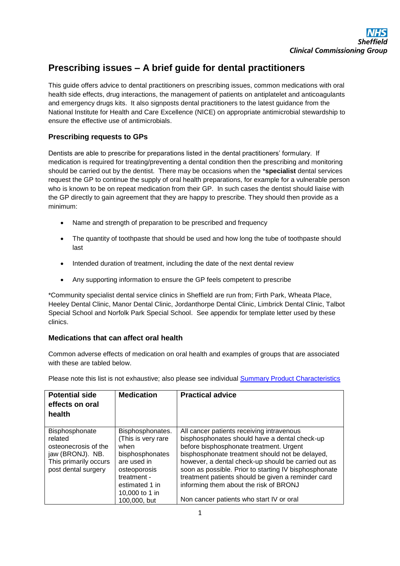# **Prescribing issues – A brief guide for dental practitioners**

This guide offers advice to dental practitioners on prescribing issues, common medications with oral health side effects, drug interactions, the management of patients on antiplatelet and anticoagulants and emergency drugs kits. It also signposts dental practitioners to the latest guidance from the National Institute for Health and Care Excellence (NICE) on appropriate antimicrobial stewardship to ensure the effective use of antimicrobials.

## **Prescribing requests to GPs**

Dentists are able to prescribe for preparations listed in the dental practitioners' formulary. If medication is required for treating/preventing a dental condition then the prescribing and monitoring should be carried out by the dentist. There may be occasions when the \***specialist** dental services request the GP to continue the supply of oral health preparations, for example for a vulnerable person who is known to be on repeat medication from their GP. In such cases the dentist should liaise with the GP directly to gain agreement that they are happy to prescribe. They should then provide as a minimum:

- Name and strength of preparation to be prescribed and frequency
- The quantity of toothpaste that should be used and how long the tube of toothpaste should last
- Intended duration of treatment, including the date of the next dental review
- Any supporting information to ensure the GP feels competent to prescribe

\*Community specialist dental service clinics in Sheffield are run from; Firth Park, Wheata Place, Heeley Dental Clinic, Manor Dental Clinic, Jordanthorpe Dental Clinic, Limbrick Dental Clinic, Talbot Special School and Norfolk Park Special School. See appendix for template letter used by these clinics.

## **Medications that can affect oral health**

Common adverse effects of medication on oral health and examples of groups that are associated with these are tabled below.

| Please note this list is not exhaustive; also please see individual <b>Summary Product Characteristics</b> |  |  |
|------------------------------------------------------------------------------------------------------------|--|--|
|                                                                                                            |  |  |

| <b>Potential side</b><br>effects on oral<br>health                                                                    | <b>Medication</b>                                                                                                                                                   | <b>Practical advice</b>                                                                                                                                                                                                                                                                                                                                                                                                                              |
|-----------------------------------------------------------------------------------------------------------------------|---------------------------------------------------------------------------------------------------------------------------------------------------------------------|------------------------------------------------------------------------------------------------------------------------------------------------------------------------------------------------------------------------------------------------------------------------------------------------------------------------------------------------------------------------------------------------------------------------------------------------------|
| Bisphosphonate<br>related<br>osteonecrosis of the<br>jaw (BRONJ). NB.<br>This primarily occurs<br>post dental surgery | Bisphosphonates.<br>(This is very rare<br>when<br>bisphosphonates<br>are used in<br>osteoporosis<br>treatment -<br>estimated 1 in<br>10,000 to 1 in<br>100,000, but | All cancer patients receiving intravenous<br>bisphosphonates should have a dental check-up<br>before bisphosphonate treatment. Urgent<br>bisphosphonate treatment should not be delayed,<br>however, a dental check-up should be carried out as<br>soon as possible. Prior to starting IV bisphosphonate<br>treatment patients should be given a reminder card<br>informing them about the risk of BRONJ<br>Non cancer patients who start IV or oral |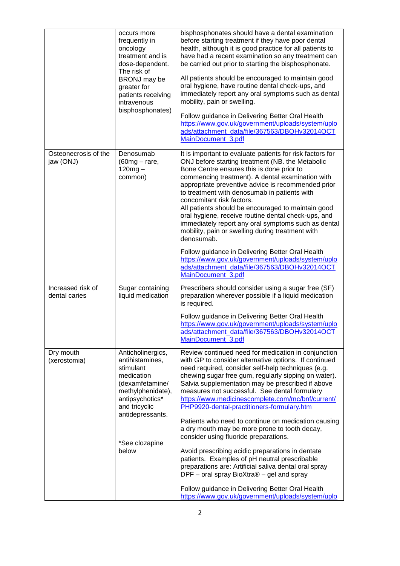|                                    | occurs more<br>frequently in<br>oncology<br>treatment and is<br>dose-dependent.<br>The risk of<br>BRONJ may be<br>greater for<br>patients receiving<br>intravenous<br>bisphosphonates)     | bisphosphonates should have a dental examination<br>before starting treatment if they have poor dental<br>health, although it is good practice for all patients to<br>have had a recent examination so any treatment can<br>be carried out prior to starting the bisphosphonate.<br>All patients should be encouraged to maintain good<br>oral hygiene, have routine dental check-ups, and<br>immediately report any oral symptoms such as dental<br>mobility, pain or swelling.<br>Follow guidance in Delivering Better Oral Health<br>https://www.gov.uk/government/uploads/system/uplo<br>ads/attachment_data/file/367563/DBOHv32014OCT<br>MainDocument_3.pdf                                                                                                                                                                                                                                         |
|------------------------------------|--------------------------------------------------------------------------------------------------------------------------------------------------------------------------------------------|----------------------------------------------------------------------------------------------------------------------------------------------------------------------------------------------------------------------------------------------------------------------------------------------------------------------------------------------------------------------------------------------------------------------------------------------------------------------------------------------------------------------------------------------------------------------------------------------------------------------------------------------------------------------------------------------------------------------------------------------------------------------------------------------------------------------------------------------------------------------------------------------------------|
| Osteonecrosis of the<br>jaw (ONJ)  | Denosumab<br>$(60mg - rare,$<br>$120mg -$<br>common)                                                                                                                                       | It is important to evaluate patients for risk factors for<br>ONJ before starting treatment (NB. the Metabolic<br>Bone Centre ensures this is done prior to<br>commencing treatment). A dental examination with<br>appropriate preventive advice is recommended prior<br>to treatment with denosumab in patients with<br>concomitant risk factors.<br>All patients should be encouraged to maintain good<br>oral hygiene, receive routine dental check-ups, and<br>immediately report any oral symptoms such as dental<br>mobility, pain or swelling during treatment with<br>denosumab.<br>Follow guidance in Delivering Better Oral Health<br>https://www.gov.uk/government/uploads/system/uplo<br>ads/attachment_data/file/367563/DBOHv32014OCT<br>MainDocument_3.pdf                                                                                                                                  |
| Increased risk of<br>dental caries | Sugar containing<br>liquid medication                                                                                                                                                      | Prescribers should consider using a sugar free (SF)<br>preparation wherever possible if a liquid medication<br>is required.<br>Follow guidance in Delivering Better Oral Health<br>https://www.gov.uk/government/uploads/system/uplo<br>ads/attachment_data/file/367563/DBOHv32014OCT<br>MainDocument_3.pdf                                                                                                                                                                                                                                                                                                                                                                                                                                                                                                                                                                                              |
| Dry mouth<br>(xerostomia)          | Anticholinergics,<br>antihistamines,<br>stimulant<br>medication<br>(dexamfetamine/<br>methylphenidate),<br>antipsychotics*<br>and tricyclic<br>antidepressants.<br>*See clozapine<br>below | Review continued need for medication in conjunction<br>with GP to consider alternative options. If continued<br>need required, consider self-help techniques (e.g.<br>chewing sugar free gum, regularly sipping on water).<br>Salvia supplementation may be prescribed if above<br>measures not successful. See dental formulary<br>https://www.medicinescomplete.com/mc/bnf/current/<br>PHP9920-dental-practitioners-formulary.htm<br>Patients who need to continue on medication causing<br>a dry mouth may be more prone to tooth decay,<br>consider using fluoride preparations.<br>Avoid prescribing acidic preparations in dentate<br>patients. Examples of pH neutral prescribable<br>preparations are: Artificial saliva dental oral spray<br>DPF - oral spray BioXtra® - gel and spray<br>Follow guidance in Delivering Better Oral Health<br>https://www.gov.uk/government/uploads/system/uplo |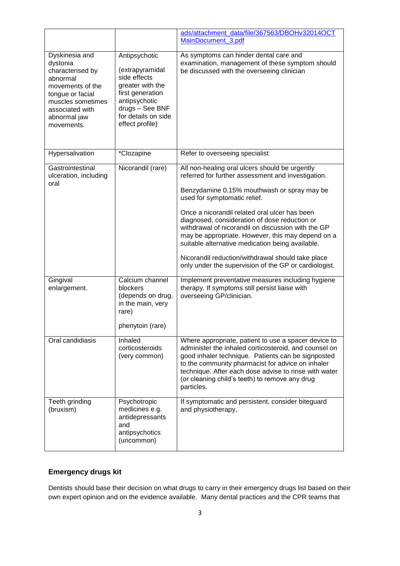|                                                                                                                                                                          |                                                                                                                                                                        | ads/attachment_data/file/367563/DBOHv32014OCT<br>MainDocument 3.pdf                                                                                                                                                                                                                                                                                                                                                                                                                                                                                                                                                                                                       |
|--------------------------------------------------------------------------------------------------------------------------------------------------------------------------|------------------------------------------------------------------------------------------------------------------------------------------------------------------------|---------------------------------------------------------------------------------------------------------------------------------------------------------------------------------------------------------------------------------------------------------------------------------------------------------------------------------------------------------------------------------------------------------------------------------------------------------------------------------------------------------------------------------------------------------------------------------------------------------------------------------------------------------------------------|
| Dyskinesia and<br>dystonia<br>characterised by<br>abnormal<br>movements of the<br>tongue or facial<br>muscles sometimes<br>associated with<br>abnormal jaw<br>movements. | Antipsychotic<br>(extrapyramidal<br>side effects<br>greater with the<br>first generation<br>antipsychotic<br>drugs - See BNF<br>for details on side<br>effect profile) | As symptoms can hinder dental care and<br>examination, management of these symptom should<br>be discussed with the overseeing clinician                                                                                                                                                                                                                                                                                                                                                                                                                                                                                                                                   |
| Hypersalivation                                                                                                                                                          | *Clozapine                                                                                                                                                             | Refer to overseeing specialist                                                                                                                                                                                                                                                                                                                                                                                                                                                                                                                                                                                                                                            |
| Gastrointestinal<br>ulceration, including<br>oral<br>Gingival<br>enlargement.                                                                                            | Nicorandil (rare)<br>Calcium channel<br>blockers                                                                                                                       | All non-healing oral ulcers should be urgently<br>referred for further assessment and investigation.<br>Benzydamine 0.15% mouthwash or spray may be<br>used for symptomatic relief.<br>Once a nicorandil related oral ulcer has been<br>diagnosed, consideration of dose reduction or<br>withdrawal of nicorandil on discussion with the GP<br>may be appropriate. However, this may depend on a<br>suitable alternative medication being available.<br>Nicorandil reduction/withdrawal should take place<br>only under the supervision of the GP or cardiologist.<br>Implement preventative measures including hygiene<br>therapy. If symptoms still persist liaise with |
|                                                                                                                                                                          | (depends on drug,<br>in the main, very<br>rare)<br>phenytoin (rare)                                                                                                    | overseeing GP/clinician.                                                                                                                                                                                                                                                                                                                                                                                                                                                                                                                                                                                                                                                  |
| Oral candidiasis                                                                                                                                                         | Inhaled<br>corticosteroids<br>(very common)                                                                                                                            | Where appropriate, patient to use a spacer device to<br>administer the inhaled corticosteroid, and counsel on<br>good inhaler technique. Patients can be signposted<br>to the community pharmacist for advice on inhaler<br>technique. After each dose advise to rinse with water<br>(or cleaning child's teeth) to remove any drug<br>particles.                                                                                                                                                                                                                                                                                                                         |
| Teeth grinding<br>(bruxism)                                                                                                                                              | Psychotropic<br>medicines e.g.<br>antidepressants<br>and<br>antipsychotics<br>(uncommon)                                                                               | If symptomatic and persistent, consider biteguard<br>and physiotherapy,                                                                                                                                                                                                                                                                                                                                                                                                                                                                                                                                                                                                   |

## **Emergency drugs kit**

Dentists should base their decision on what drugs to carry in their emergency drugs list based on their own expert opinion and on the evidence available. Many dental practices and the CPR teams that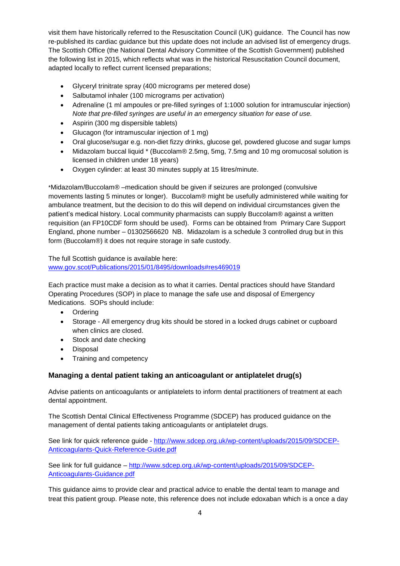visit them have historically referred to the Resuscitation Council (UK) guidance. The Council has now re-published its cardiac guidance but this update does not include an advised list of emergency drugs. The Scottish Office (the National Dental Advisory Committee of the Scottish Government) published the following list in 2015, which reflects what was in the historical Resuscitation Council document, adapted locally to reflect current licensed preparations;

- Glyceryl trinitrate spray (400 micrograms per metered dose)
- Salbutamol inhaler (100 micrograms per activation)
- Adrenaline (1 ml ampoules or pre-filled syringes of 1:1000 solution for intramuscular injection) *Note that pre-filled syringes are useful in an emergency situation for ease of use.*
- Aspirin (300 mg dispersible tablets)
- Glucagon (for intramuscular injection of 1 mg)
- Oral glucose/sugar e.g. non-diet fizzy drinks, glucose gel, powdered glucose and sugar lumps
- Midazolam buccal liquid \* (Buccolam® 2.5mg, 5mg, 7.5mg and 10 mg oromucosal solution is licensed in children under 18 years)
- Oxygen cylinder: at least 30 minutes supply at 15 litres/minute.

\*Midazolam/Buccolam® –medication should be given if seizures are prolonged (convulsive movements lasting 5 minutes or longer). Buccolam® might be usefully administered while waiting for ambulance treatment, but the decision to do this will depend on individual circumstances given the patient's medical history. Local community pharmacists can supply Buccolam® against a written requisition (an FP10CDF form should be used). Forms can be obtained from Primary Care Support England, phone number – 01302566620 NB. Midazolam is a schedule 3 controlled drug but in this form (Buccolam®) it does not require storage in safe custody.

The full Scottish guidance is available here: [www.gov.scot/Publications/2015/01/8495/downloads#res469019](http://www.gov.scot/Publications/2015/01/8495/downloads#res469019)

Each practice must make a decision as to what it carries. Dental practices should have Standard Operating Procedures (SOP) in place to manage the safe use and disposal of Emergency Medications. SOPs should include:

- Ordering
- Storage All emergency drug kits should be stored in a locked drugs cabinet or cupboard when clinics are closed.
- Stock and date checking
- Disposal
- Training and competency

## **Managing a dental patient taking an anticoagulant or antiplatelet drug(s)**

Advise patients on anticoagulants or antiplatelets to inform dental practitioners of treatment at each dental appointment.

The Scottish Dental Clinical Effectiveness Programme (SDCEP) has produced guidance on the management of dental patients taking anticoagulants or antiplatelet drugs.

See link for quick reference guide - [http://www.sdcep.org.uk/wp-content/uploads/2015/09/SDCEP-](http://www.sdcep.org.uk/wp-content/uploads/2015/09/SDCEP-Anticoagulants-Quick-Reference-Guide.pdf)[Anticoagulants-Quick-Reference-Guide.pdf](http://www.sdcep.org.uk/wp-content/uploads/2015/09/SDCEP-Anticoagulants-Quick-Reference-Guide.pdf)

See link for full guidance - [http://www.sdcep.org.uk/wp-content/uploads/2015/09/SDCEP-](http://www.sdcep.org.uk/wp-content/uploads/2015/09/SDCEP-Anticoagulants-Guidance.pdf)[Anticoagulants-Guidance.pdf](http://www.sdcep.org.uk/wp-content/uploads/2015/09/SDCEP-Anticoagulants-Guidance.pdf)

This guidance aims to provide clear and practical advice to enable the dental team to manage and treat this patient group. Please note, this reference does not include edoxaban which is a once a day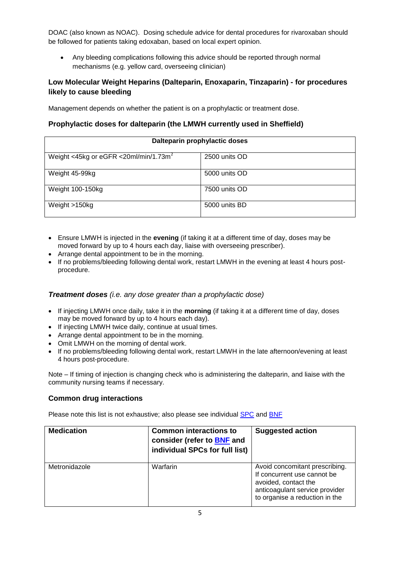DOAC (also known as NOAC). Dosing schedule advice for dental procedures for rivaroxaban should be followed for patients taking edoxaban, based on local expert opinion.

 Any bleeding complications following this advice should be reported through normal mechanisms (e.g. yellow card, overseeing clinician)

## **Low Molecular Weight Heparins (Dalteparin, Enoxaparin, Tinzaparin) - for procedures likely to cause bleeding**

Management depends on whether the patient is on a prophylactic or treatment dose.

## **Prophylactic doses for dalteparin (the LMWH currently used in Sheffield)**

| Dalteparin prophylactic doses                     |               |  |
|---------------------------------------------------|---------------|--|
| Weight <45kg or eGFR <20ml/min/1.73m <sup>2</sup> | 2500 units OD |  |
| Weight 45-99kg                                    | 5000 units OD |  |
| Weight 100-150kg                                  | 7500 units OD |  |
| Weight >150kg                                     | 5000 units BD |  |

- Ensure LMWH is injected in the **evening** (if taking it at a different time of day, doses may be moved forward by up to 4 hours each day, liaise with overseeing prescriber).
- Arrange dental appointment to be in the morning.
- If no problems/bleeding following dental work, restart LMWH in the evening at least 4 hours postprocedure.

#### *Treatment doses (i.e. any dose greater than a prophylactic dose)*

- If injecting LMWH once daily, take it in the **morning** (if taking it at a different time of day, doses may be moved forward by up to 4 hours each day).
- If injecting LMWH twice daily, continue at usual times.
- Arrange dental appointment to be in the morning.
- Omit LMWH on the morning of dental work.
- If no problems/bleeding following dental work, restart LMWH in the late afternoon/evening at least 4 hours post-procedure.

Note – If timing of injection is changing check who is administering the dalteparin, and liaise with the community nursing teams if necessary.

#### **Common drug interactions**

Please note this list is not exhaustive; also please see individual [SPC](http://www.medicines.org.uk/emc/) and [BNF](https://www.medicinescomplete.com/mc/bnf/current/PHP8848-interactions.htm)

| <b>Medication</b> | <b>Common interactions to</b><br>consider (refer to <b>BNF</b> and<br>individual SPCs for full list) | <b>Suggested action</b>                                                                                                                                   |
|-------------------|------------------------------------------------------------------------------------------------------|-----------------------------------------------------------------------------------------------------------------------------------------------------------|
| Metronidazole     | Warfarin                                                                                             | Avoid concomitant prescribing.<br>If concurrent use cannot be<br>avoided, contact the<br>anticoagulant service provider<br>to organise a reduction in the |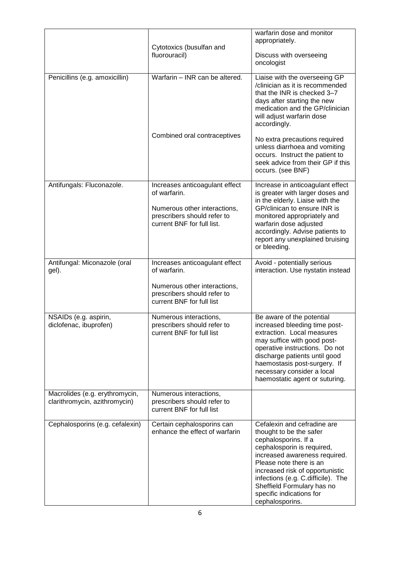|                                                                 | Cytotoxics (busulfan and<br>fluorouracil)                                                                                                   | warfarin dose and monitor<br>appropriately.<br>Discuss with overseeing<br>oncologist                                                                                                                                                                                                                                           |
|-----------------------------------------------------------------|---------------------------------------------------------------------------------------------------------------------------------------------|--------------------------------------------------------------------------------------------------------------------------------------------------------------------------------------------------------------------------------------------------------------------------------------------------------------------------------|
| Penicillins (e.g. amoxicillin)                                  | Warfarin - INR can be altered.                                                                                                              | Liaise with the overseeing GP<br>/clinician as it is recommended<br>that the INR is checked 3-7<br>days after starting the new<br>medication and the GP/clinician<br>will adjust warfarin dose<br>accordingly.                                                                                                                 |
|                                                                 | Combined oral contraceptives                                                                                                                | No extra precautions required<br>unless diarrhoea and vomiting<br>occurs. Instruct the patient to<br>seek advice from their GP if this<br>occurs. (see BNF)                                                                                                                                                                    |
| Antifungals: Fluconazole.                                       | Increases anticoagulant effect<br>of warfarin.<br>Numerous other interactions,<br>prescribers should refer to<br>current BNF for full list. | Increase in anticoagulant effect<br>is greater with larger doses and<br>in the elderly. Liaise with the<br>GP/clinican to ensure INR is<br>monitored appropriately and<br>warfarin dose adjusted<br>accordingly. Advise patients to<br>report any unexplained bruising<br>or bleeding.                                         |
| Antifungal: Miconazole (oral<br>gel).                           | Increases anticoagulant effect<br>of warfarin.<br>Numerous other interactions,<br>prescribers should refer to<br>current BNF for full list  | Avoid - potentially serious<br>interaction. Use nystatin instead                                                                                                                                                                                                                                                               |
| NSAIDs (e.g. aspirin,<br>diclofenac, ibuprofen)                 | Numerous interactions,<br>prescribers should refer to<br>current BNF for full list                                                          | Be aware of the potential<br>increased bleeding time post-<br>extraction. Local measures<br>may suffice with good post-<br>operative instructions. Do not<br>discharge patients until good<br>haemostasis post-surgery. If<br>necessary consider a local<br>haemostatic agent or suturing.                                     |
| Macrolides (e.g. erythromycin,<br>clarithromycin, azithromycin) | Numerous interactions,<br>prescribers should refer to<br>current BNF for full list                                                          |                                                                                                                                                                                                                                                                                                                                |
| Cephalosporins (e.g. cefalexin)                                 | Certain cephalosporins can<br>enhance the effect of warfarin                                                                                | Cefalexin and cefradine are<br>thought to be the safer<br>cephalosporins. If a<br>cephalosporin is required,<br>increased awareness required.<br>Please note there is an<br>increased risk of opportunistic<br>infections (e.g. C.difficile). The<br>Sheffield Formulary has no<br>specific indications for<br>cephalosporins. |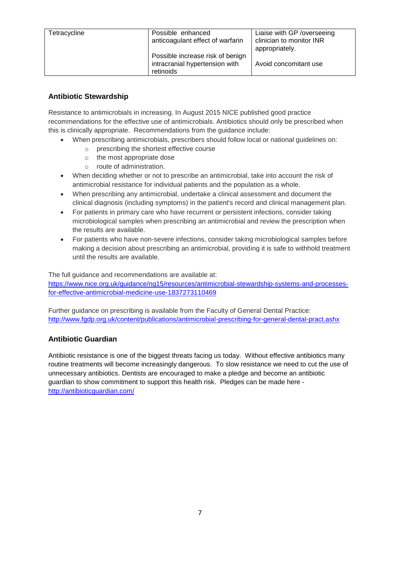| Tetracycline | Possible enhanced<br>anticoagulant effect of warfarin                           | Liaise with GP / overseeing<br>clinician to monitor INR<br>appropriately. |
|--------------|---------------------------------------------------------------------------------|---------------------------------------------------------------------------|
|              | Possible increase risk of benign<br>intracranial hypertension with<br>retinoids | Avoid concomitant use                                                     |

## **Antibiotic Stewardship**

Resistance to antimicrobials in increasing. In August 2015 NICE published good practice recommendations for the effective use of antimicrobials. Antibiotics should only be prescribed when this is clinically appropriate. Recommendations from the guidance include:

- When prescribing antimicrobials, prescribers should follow local or national guidelines on:
	- o prescribing the shortest effective course
	- o the most appropriate dose
	- o route of administration.
- When deciding whether or not to prescribe an antimicrobial, take into account the risk of antimicrobial resistance for individual patients and the population as a whole.
- When prescribing any antimicrobial, undertake a clinical assessment and document the clinical diagnosis (including symptoms) in the patient's record and clinical management plan.
- For patients in primary care who have recurrent or persistent infections, consider taking microbiological samples when prescribing an antimicrobial and review the prescription when the results are available.
- For patients who have non-severe infections, consider taking microbiological samples before making a decision about prescribing an antimicrobial, providing it is safe to withhold treatment until the results are available.

The full guidance and recommendations are available at: [https://www.nice.org.uk/guidance/ng15/resources/antimicrobial-stewardship-systems-and-processes](https://www.nice.org.uk/guidance/ng15/resources/antimicrobial-stewardship-systems-and-processes-for-effective-antimicrobial-medicine-use-1837273110469)[for-effective-antimicrobial-medicine-use-1837273110469](https://www.nice.org.uk/guidance/ng15/resources/antimicrobial-stewardship-systems-and-processes-for-effective-antimicrobial-medicine-use-1837273110469)

Further guidance on prescribing is available from the Faculty of General Dental Practice: <http://www.fgdp.org.uk/content/publications/antimicrobial-prescribing-for-general-dental-pract.ashx>

## **Antibiotic Guardian**

Antibiotic resistance is one of the biggest threats facing us today. Without effective antibiotics many routine treatments will become increasingly dangerous. To slow resistance we need to cut the use of unnecessary antibiotics. Dentists are encouraged to make a pledge and become an antibiotic guardian to show commitment to support this health risk. Pledges can be made here <http://antibioticguardian.com/>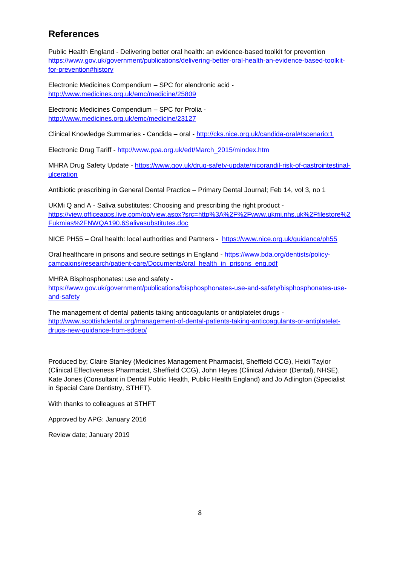## **References**

Public Health England - Delivering better oral health: an evidence-based toolkit for prevention [https://www.gov.uk/government/publications/delivering-better-oral-health-an-evidence-based-toolkit](https://www.gov.uk/government/publications/delivering-better-oral-health-an-evidence-based-toolkit-for-prevention#history)[for-prevention#history](https://www.gov.uk/government/publications/delivering-better-oral-health-an-evidence-based-toolkit-for-prevention#history)

Electronic Medicines Compendium – SPC for alendronic acid <http://www.medicines.org.uk/emc/medicine/25809>

Electronic Medicines Compendium – SPC for Prolia <http://www.medicines.org.uk/emc/medicine/23127>

Clinical Knowledge Summaries - Candida – oral - <http://cks.nice.org.uk/candida-oral#!scenario:1>

Electronic Drug Tariff - [http://www.ppa.org.uk/edt/March\\_2015/mindex.htm](http://www.ppa.org.uk/edt/March_2015/mindex.htm)

MHRA Drug Safety Update - [https://www.gov.uk/drug-safety-update/nicorandil-risk-of-gastrointestinal](https://www.gov.uk/drug-safety-update/nicorandil-risk-of-gastrointestinal-ulceration)[ulceration](https://www.gov.uk/drug-safety-update/nicorandil-risk-of-gastrointestinal-ulceration)

Antibiotic prescribing in General Dental Practice – Primary Dental Journal; Feb 14, vol 3, no 1

UKMi Q and A - Saliva substitutes: Choosing and prescribing the right product [https://view.officeapps.live.com/op/view.aspx?src=http%3A%2F%2Fwww.ukmi.nhs.uk%2Ffilestore%2](https://view.officeapps.live.com/op/view.aspx?src=http%3A%2F%2Fwww.ukmi.nhs.uk%2Ffilestore%2Fukmias%2FNWQA190.6Salivasubstitutes.doc) [Fukmias%2FNWQA190.6Salivasubstitutes.doc](https://view.officeapps.live.com/op/view.aspx?src=http%3A%2F%2Fwww.ukmi.nhs.uk%2Ffilestore%2Fukmias%2FNWQA190.6Salivasubstitutes.doc)

NICE PH55 – Oral health: local authorities and Partners - <https://www.nice.org.uk/guidance/ph55>

Oral healthcare in prisons and secure settings in England - [https://www.bda.org/dentists/policy](https://www.bda.org/dentists/policy-campaigns/research/patient-care/Documents/oral_health_in_prisons_eng.pdf)[campaigns/research/patient-care/Documents/oral\\_health\\_in\\_prisons\\_eng.pdf](https://www.bda.org/dentists/policy-campaigns/research/patient-care/Documents/oral_health_in_prisons_eng.pdf)

MHRA Bisphosphonates: use and safety [https://www.gov.uk/government/publications/bisphosphonates-use-and-safety/bisphosphonates-use](https://www.gov.uk/government/publications/bisphosphonates-use-and-safety/bisphosphonates-use-and-safety)[and-safety](https://www.gov.uk/government/publications/bisphosphonates-use-and-safety/bisphosphonates-use-and-safety)

The management of dental patients taking anticoagulants or antiplatelet drugs [http://www.scottishdental.org/management-of-dental-patients-taking-anticoagulants-or-antiplatelet](http://www.scottishdental.org/management-of-dental-patients-taking-anticoagulants-or-antiplatelet-drugs-new-guidance-from-sdcep/)[drugs-new-guidance-from-sdcep/](http://www.scottishdental.org/management-of-dental-patients-taking-anticoagulants-or-antiplatelet-drugs-new-guidance-from-sdcep/)

Produced by; Claire Stanley (Medicines Management Pharmacist, Sheffield CCG), Heidi Taylor (Clinical Effectiveness Pharmacist, Sheffield CCG), John Heyes (Clinical Advisor (Dental), NHSE), Kate Jones (Consultant in Dental Public Health, Public Health England) and Jo Adlington (Specialist in Special Care Dentistry, STHFT).

With thanks to colleagues at STHFT

Approved by APG: January 2016

Review date; January 2019